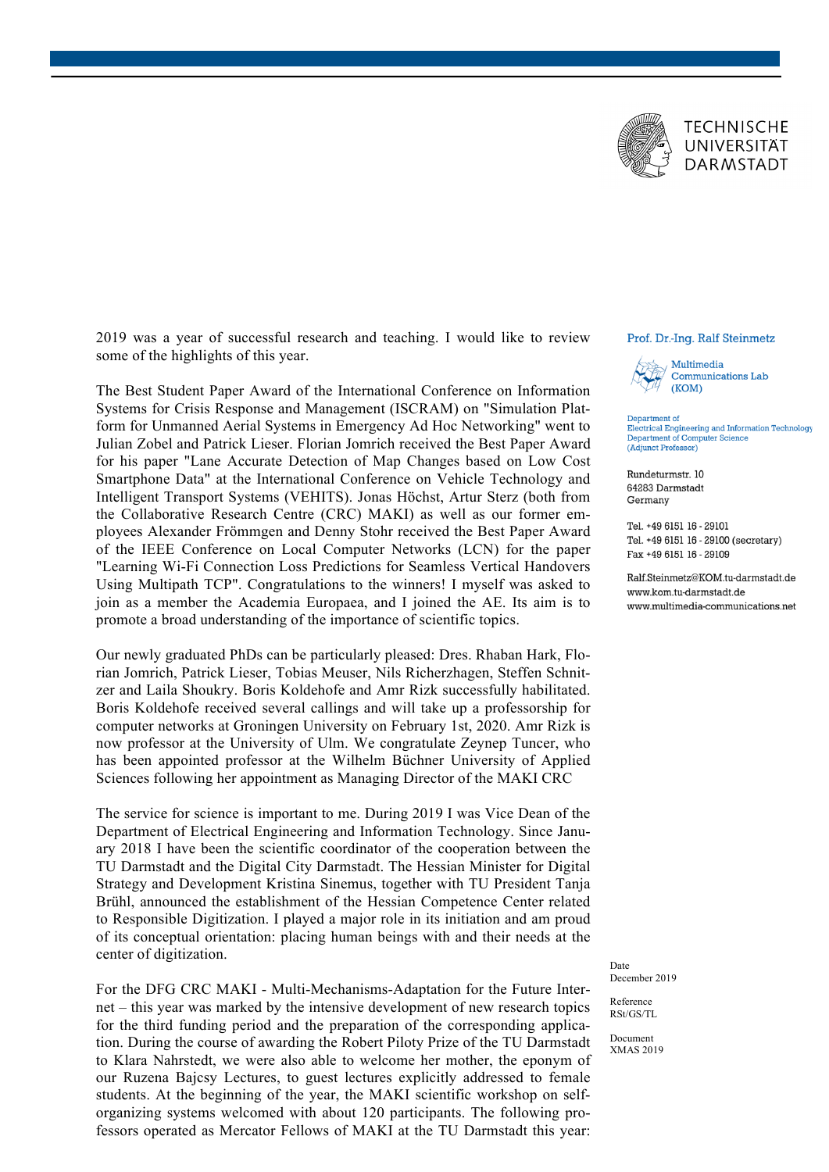

2019 was a year of successful research and teaching. I would like to review some of the highlights of this year.

The Best Student Paper Award of the International Conference on Information Systems for Crisis Response and Management (ISCRAM) on "Simulation Platform for Unmanned Aerial Systems in Emergency Ad Hoc Networking" went to Julian Zobel and Patrick Lieser. Florian Jomrich received the Best Paper Award for his paper "Lane Accurate Detection of Map Changes based on Low Cost Smartphone Data" at the International Conference on Vehicle Technology and Intelligent Transport Systems (VEHITS). Jonas Höchst, Artur Sterz (both from the Collaborative Research Centre (CRC) MAKI) as well as our former employees Alexander Frömmgen and Denny Stohr received the Best Paper Award of the IEEE Conference on Local Computer Networks (LCN) for the paper "Learning Wi-Fi Connection Loss Predictions for Seamless Vertical Handovers Using Multipath TCP". Congratulations to the winners! I myself was asked to join as a member the Academia Europaea, and I joined the AE. Its aim is to promote a broad understanding of the importance of scientific topics.

Our newly graduated PhDs can be particularly pleased: Dres. Rhaban Hark, Florian Jomrich, Patrick Lieser, Tobias Meuser, Nils Richerzhagen, Steffen Schnitzer and Laila Shoukry. Boris Koldehofe and Amr Rizk successfully habilitated. Boris Koldehofe received several callings and will take up a professorship for computer networks at Groningen University on February 1st, 2020. Amr Rizk is now professor at the University of Ulm. We congratulate Zeynep Tuncer, who has been appointed professor at the Wilhelm Büchner University of Applied Sciences following her appointment as Managing Director of the MAKI CRC

The service for science is important to me. During 2019 I was Vice Dean of the Department of Electrical Engineering and Information Technology. Since January 2018 I have been the scientific coordinator of the cooperation between the TU Darmstadt and the Digital City Darmstadt. The Hessian Minister for Digital Strategy and Development Kristina Sinemus, together with TU President Tanja Brühl, announced the establishment of the Hessian Competence Center related to Responsible Digitization. I played a major role in its initiation and am proud of its conceptual orientation: placing human beings with and their needs at the center of digitization.

For the DFG CRC MAKI - Multi-Mechanisms-Adaptation for the Future Internet – this year was marked by the intensive development of new research topics for the third funding period and the preparation of the corresponding application. During the course of awarding the Robert Piloty Prize of the TU Darmstadt to Klara Nahrstedt, we were also able to welcome her mother, the eponym of our Ruzena Bajcsy Lectures, to guest lectures explicitly addressed to female students. At the beginning of the year, the MAKI scientific workshop on selforganizing systems welcomed with about 120 participants. The following professors operated as Mercator Fellows of MAKI at the TU Darmstadt this year:

## Prof. Dr.-Ing. Ralf Steinmetz



Department of Electrical Engineering and Information Technology Department of Computer Science (Adjunct Professor)

Rundeturmstr. 10 64283 Darmstadt Germany

Tel. +49 6151 16 - 29101 Tel. +49 6151 16 - 29100 (secretary) Fax +49 6151 16 - 29109

Ralf.Steinmetz@KOM.tu-darmstadt.de www kom tu-darmstadt de www.multimedia-communications.net

Date December 2019

Reference RSt/GS/TL

Document XMAS 2019